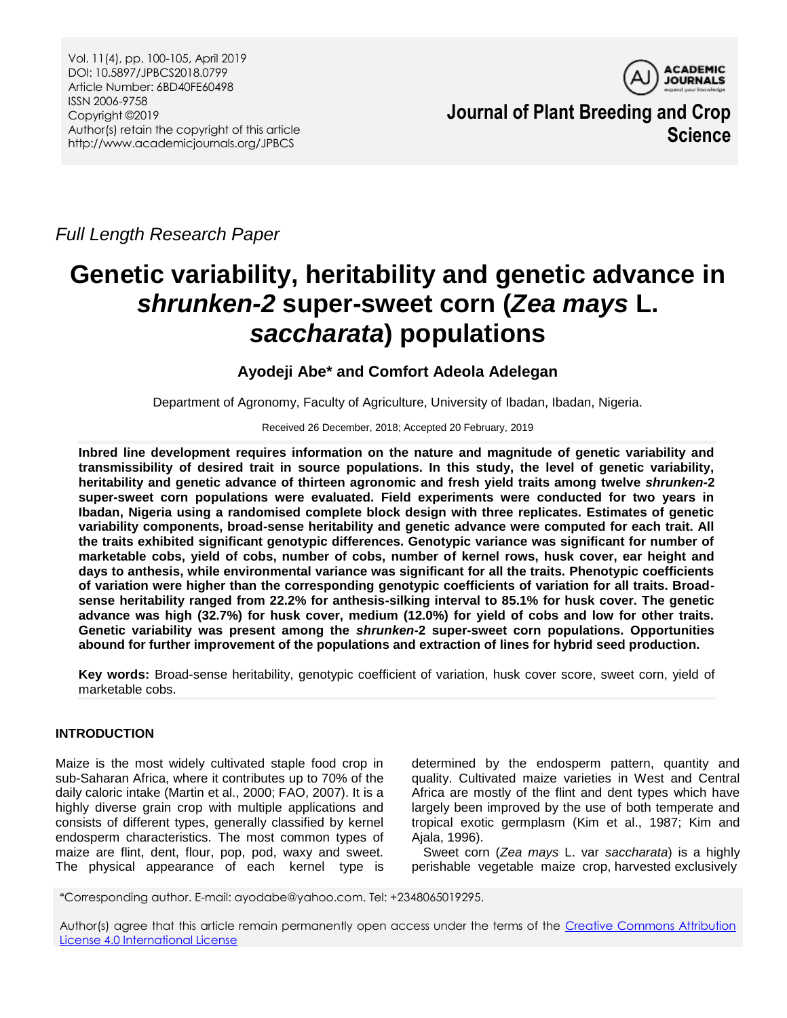

**Journal of Plant Breeding and Crop Science**

*Full Length Research Paper*

# **Genetic variability, heritability and genetic advance in**  *shrunken-2* **super-sweet corn (***Zea mays* **L.**  *saccharata***) populations**

# **Ayodeji Abe\* and Comfort Adeola Adelegan**

Department of Agronomy, Faculty of Agriculture, University of Ibadan, Ibadan, Nigeria.

Received 26 December, 2018; Accepted 20 February, 2019

**Inbred line development requires information on the nature and magnitude of genetic variability and transmissibility of desired trait in source populations. In this study, the level of genetic variability, heritability and genetic advance of thirteen agronomic and fresh yield traits among twelve** *shrunken***-2 super-sweet corn populations were evaluated. Field experiments were conducted for two years in Ibadan, Nigeria using a randomised complete block design with three replicates. Estimates of genetic variability components, broad-sense heritability and genetic advance were computed for each trait. All the traits exhibited significant genotypic differences. Genotypic variance was significant for number of marketable cobs, yield of cobs, number of cobs, number of kernel rows, husk cover, ear height and days to anthesis, while environmental variance was significant for all the traits. Phenotypic coefficients of variation were higher than the corresponding genotypic coefficients of variation for all traits. Broadsense heritability ranged from 22.2% for anthesis-silking interval to 85.1% for husk cover. The genetic advance was high (32.7%) for husk cover, medium (12.0%) for yield of cobs and low for other traits. Genetic variability was present among the** *shrunken***-2 super-sweet corn populations. Opportunities abound for further improvement of the populations and extraction of lines for hybrid seed production.** 

**Key words:** Broad-sense heritability, genotypic coefficient of variation, husk cover score, sweet corn, yield of marketable cobs.

## **INTRODUCTION**

Maize is the most widely cultivated staple food crop in sub-Saharan Africa, where it contributes up to 70% of the daily caloric intake (Martin et al., 2000; FAO, 2007). It is a highly diverse grain crop with multiple applications and consists of different types, generally classified by kernel endosperm characteristics. The most common types of maize are flint, dent, flour, pop, pod, waxy and sweet. The physical appearance of each kernel type is

determined by the endosperm pattern, quantity and quality. Cultivated maize varieties in West and Central Africa are mostly of the flint and dent types which have largely been improved by the use of both temperate and tropical exotic germplasm (Kim et al., 1987; Kim and Ajala, 1996).

Sweet corn (*Zea mays* L. var *saccharata*) is a highly perishable vegetable maize crop, harvested exclusively

\*Corresponding author. E-mail: ayodabe@yahoo.com. Tel: +2348065019295.

Author(s) agree that this article remain permanently open access under the terms of the Creative Commons Attribution [License 4.0 International License](http://creativecommons.org/licenses/by/4.0/deed.en_US)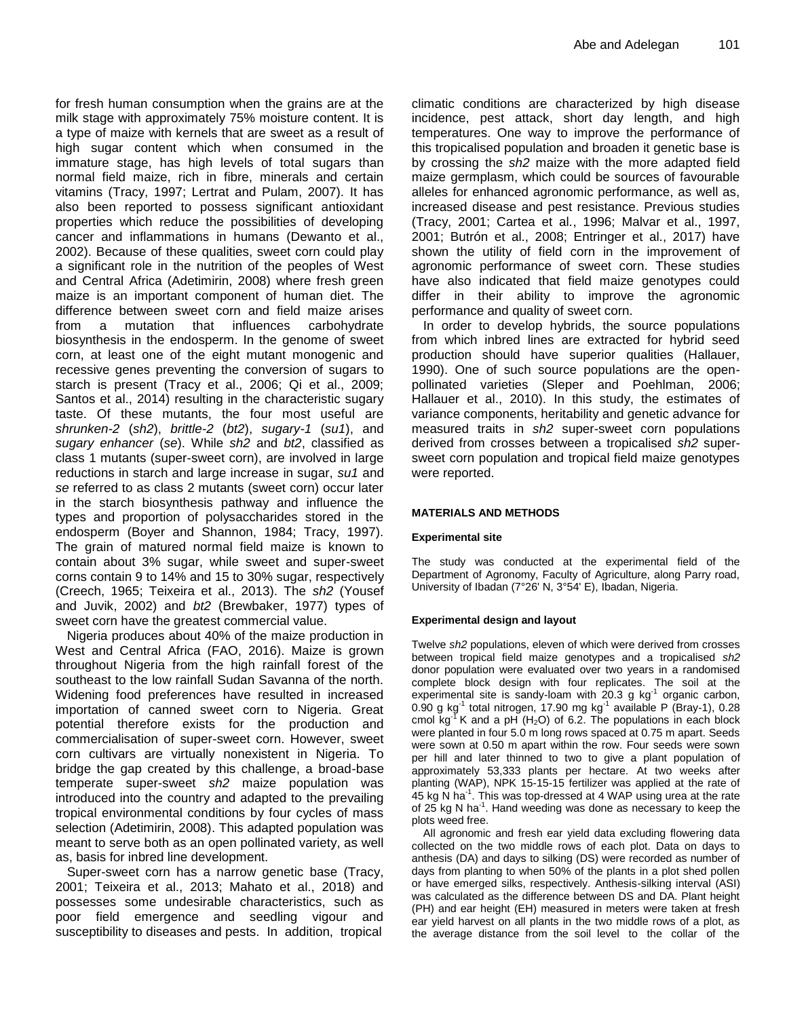for fresh human consumption when the grains are at the milk stage with approximately 75% moisture content. It is a type of maize with kernels that are sweet as a result of high sugar content which when consumed in the immature stage, has high levels of total sugars than normal field maize, rich in fibre, minerals and certain vitamins (Tracy, 1997; Lertrat and Pulam, 2007). It has also been reported to possess significant antioxidant properties which reduce the possibilities of developing cancer and inflammations in humans (Dewanto et al., 2002). Because of these qualities, sweet corn could play a significant role in the nutrition of the peoples of West and Central Africa (Adetimirin, 2008) where fresh green maize is an important component of human diet. The difference between sweet corn and field maize arises from a mutation that influences carbohydrate biosynthesis in the endosperm. In the genome of sweet corn, at least one of the eight mutant monogenic and recessive genes preventing the conversion of sugars to starch is present (Tracy et al., 2006; Qi et al., 2009; Santos et al., 2014) resulting in the characteristic sugary taste. Of these mutants, the four most useful are *shrunken-2* (*sh2*), *brittle-2* (*bt2*), *sugary-1* (*su1*), and *sugary enhancer* (*se*). While *sh2* and *bt2*, classified as class 1 mutants (super-sweet corn), are involved in large reductions in starch and large increase in sugar, *su1* and *se* referred to as class 2 mutants (sweet corn) occur later in the starch biosynthesis pathway and influence the types and proportion of polysaccharides stored in the endosperm (Boyer and Shannon, 1984; Tracy, 1997). The grain of matured normal field maize is known to contain about 3% sugar, while sweet and super-sweet corns contain 9 to 14% and 15 to 30% sugar, respectively (Creech, 1965; Teixeira et al., 2013). The *sh2* (Yousef and Juvik, 2002) and *bt2* (Brewbaker, 1977) types of sweet corn have the greatest commercial value.

Nigeria produces about 40% of the maize production in West and Central Africa (FAO, 2016). Maize is grown throughout Nigeria from the high rainfall forest of the southeast to the low rainfall Sudan Savanna of the north. Widening food preferences have resulted in increased importation of canned sweet corn to Nigeria. Great potential therefore exists for the production and commercialisation of super-sweet corn. However, sweet corn cultivars are virtually nonexistent in Nigeria. To bridge the gap created by this challenge, a broad-base temperate super-sweet *sh2* maize population was introduced into the country and adapted to the prevailing tropical environmental conditions by four cycles of mass selection (Adetimirin, 2008). This adapted population was meant to serve both as an open pollinated variety, as well as, basis for inbred line development.

Super-sweet corn has a narrow genetic base (Tracy, 2001; Teixeira et al., 2013; Mahato et al., 2018) and possesses some undesirable characteristics, such as poor field emergence and seedling vigour and susceptibility to diseases and pests. In addition, tropical

climatic conditions are characterized by high disease incidence, pest attack, short day length, and high temperatures. One way to improve the performance of this tropicalised population and broaden it genetic base is by crossing the *sh2* maize with the more adapted field maize germplasm, which could be sources of favourable alleles for enhanced agronomic performance, as well as, increased disease and pest resistance. Previous studies (Tracy, 2001; Cartea et al*.*, 1996; Malvar et al., 1997, 2001; Butrón et al., 2008; Entringer et al., 2017) have shown the utility of field corn in the improvement of agronomic performance of sweet corn. These studies have also indicated that field maize genotypes could differ in their ability to improve the agronomic performance and quality of sweet corn.

In order to develop hybrids, the source populations from which inbred lines are extracted for hybrid seed production should have superior qualities (Hallauer, 1990). One of such source populations are the openpollinated varieties (Sleper and Poehlman, 2006; Hallauer et al., 2010). In this study, the estimates of variance components, heritability and genetic advance for measured traits in *sh2* super-sweet corn populations derived from crosses between a tropicalised *sh2* supersweet corn population and tropical field maize genotypes were reported.

## **MATERIALS AND METHODS**

### **Experimental site**

The study was conducted at the experimental field of the Department of Agronomy, Faculty of Agriculture, along Parry road, University of Ibadan (7°26' N, 3°54' E), Ibadan, Nigeria.

### **Experimental design and layout**

Twelve *sh2* populations, eleven of which were derived from crosses between tropical field maize genotypes and a tropicalised *sh2*  donor population were evaluated over two years in a randomised complete block design with four replicates. The soil at the experimental site is sandy-loam with  $20.3$  g kg<sup>-1</sup> organic carbon, 0.90 g kg $^{-1}$  total nitrogen, 17.90 mg kg $^{-1}$  available P (Bray-1), 0.28 cmol  $kg<sup>-1</sup> K$  and a pH (H<sub>2</sub>O) of 6.2. The populations in each block were planted in four 5.0 m long rows spaced at 0.75 m apart. Seeds were sown at 0.50 m apart within the row. Four seeds were sown per hill and later thinned to two to give a plant population of approximately 53,333 plants per hectare. At two weeks after planting (WAP), NPK 15-15-15 fertilizer was applied at the rate of  $45$  kg N ha<sup>-1</sup>. This was top-dressed at 4 WAP using urea at the rate of 25 kg N ha<sup>-1</sup>. Hand weeding was done as necessary to keep the plots weed free.

All agronomic and fresh ear yield data excluding flowering data collected on the two middle rows of each plot. Data on days to anthesis (DA) and days to silking (DS) were recorded as number of days from planting to when 50% of the plants in a plot shed pollen or have emerged silks, respectively. Anthesis-silking interval (ASI) was calculated as the difference between DS and DA. Plant height (PH) and ear height (EH) measured in meters were taken at fresh ear yield harvest on all plants in the two middle rows of a plot, as the average distance from the soil level to the collar of the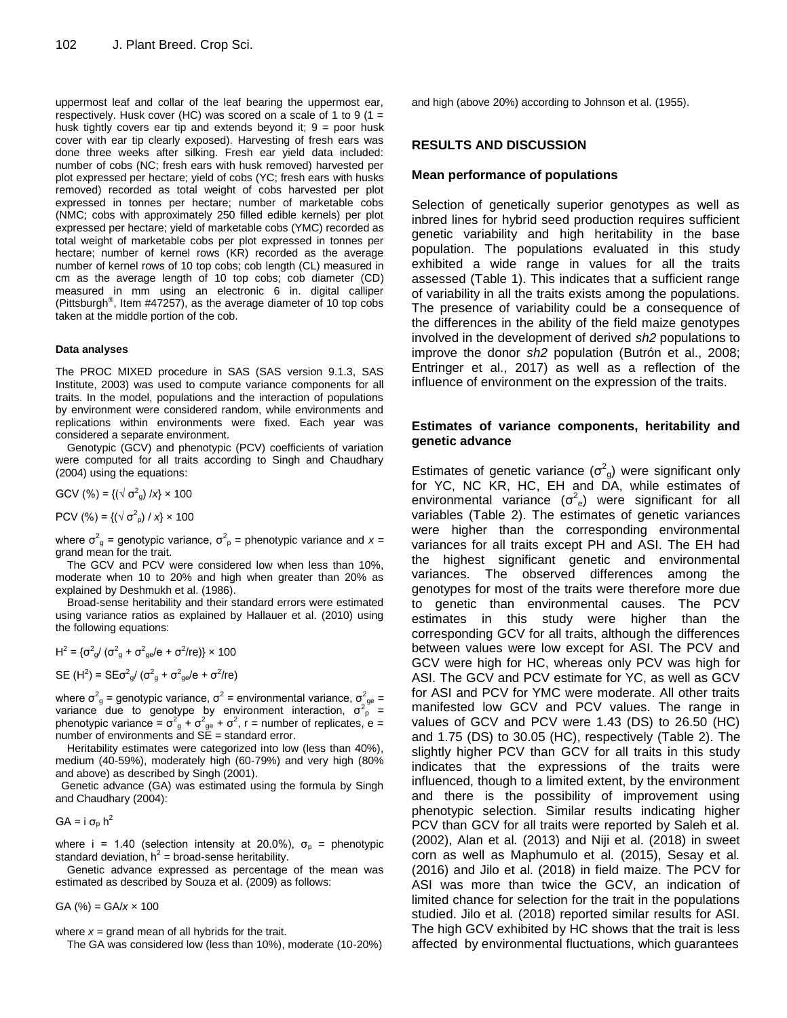uppermost leaf and collar of the leaf bearing the uppermost ear, respectively. Husk cover (HC) was scored on a scale of 1 to 9 (1 = husk tightly covers ear tip and extends beyond it;  $9 =$  poor husk cover with ear tip clearly exposed). Harvesting of fresh ears was done three weeks after silking. Fresh ear yield data included: number of cobs (NC; fresh ears with husk removed) harvested per plot expressed per hectare; yield of cobs (YC; fresh ears with husks removed) recorded as total weight of cobs harvested per plot expressed in tonnes per hectare; number of marketable cobs (NMC; cobs with approximately 250 filled edible kernels) per plot expressed per hectare; yield of marketable cobs (YMC) recorded as total weight of marketable cobs per plot expressed in tonnes per hectare; number of kernel rows (KR) recorded as the average number of kernel rows of 10 top cobs; cob length (CL) measured in cm as the average length of 10 top cobs; cob diameter (CD) measured in mm using an electronic 6 in. digital calliper (Pittsburgh® , Item #47257), as the average diameter of 10 top cobs taken at the middle portion of the cob.

#### **Data analyses**

The PROC MIXED procedure in SAS (SAS version 9.1.3, SAS Institute, 2003) was used to compute variance components for all traits. In the model, populations and the interaction of populations by environment were considered random, while environments and replications within environments were fixed. Each year was considered a separate environment.

Genotypic (GCV) and phenotypic (PCV) coefficients of variation were computed for all traits according to Singh and Chaudhary (2004) using the equations:

GCV (%) = {( $\sqrt{\sigma_{g}}$ ) /*x*} × 100

PCV (%) = {( $\sqrt{\sigma^2}$ <sub>ρ</sub>) / *x*} × 100

where  $\sigma^2$ <sub>g</sub> = genotypic variance,  $\sigma^2$ <sub>p</sub> = phenotypic variance and *x* = grand mean for the trait.

The GCV and PCV were considered low when less than 10%, moderate when 10 to 20% and high when greater than 20% as explained by Deshmukh et al. (1986).

Broad-sense heritability and their standard errors were estimated using variance ratios as explained by Hallauer et al. (2010) using the following equations:

H<sup>2</sup> = {
$$
\sigma^2_g
$$
/( $\sigma^2_g$  +  $\sigma^2_{ge}/e$  +  $\sigma^2$ /re)} × 100  
SE (H<sup>2</sup>) = SE $\sigma^2_g$ /( $\sigma^2_g$  +  $\sigma^2_{ge}/e$  +  $\sigma^2$ /re)

where  $\sigma_{g}^2$  = genotypic variance,  $\sigma^2$  = environmental variance,  $\sigma_{ge}^2$  = variance due to genotype by environment interaction,  $\sigma^2$  = phenotypic variance =  $\sigma_{g}^{2} + \sigma_{ge}^{2} + \sigma^{2}$ , r = number of replicates, e = number of environments and  $SE = standard error$ .

Heritability estimates were categorized into low (less than 40%), medium (40-59%), moderately high (60-79%) and very high (80% and above) as described by Singh (2001).

Genetic advance (GA) was estimated using the formula by Singh and Chaudhary (2004):

$$
GA = i \sigma_{p} h^{2}
$$

where i = 1.40 (selection intensity at 20.0%),  $\sigma_{\rm o}$  = phenotypic standard deviation,  $h^2$  = broad-sense heritability.

Genetic advance expressed as percentage of the mean was estimated as described by Souza et al. (2009) as follows:

GA (%) = GA/*x* × 100

where  $x =$  grand mean of all hybrids for the trait.

The GA was considered low (less than 10%), moderate (10-20%)

and high (above 20%) according to Johnson et al. (1955).

#### **RESULTS AND DISCUSSION**

#### **Mean performance of populations**

Selection of genetically superior genotypes as well as inbred lines for hybrid seed production requires sufficient genetic variability and high heritability in the base population. The populations evaluated in this study exhibited a wide range in values for all the traits assessed (Table 1). This indicates that a sufficient range of variability in all the traits exists among the populations. The presence of variability could be a consequence of the differences in the ability of the field maize genotypes involved in the development of derived *sh2* populations to improve the donor *sh2* population (Butrón et al., 2008; Entringer et al., 2017) as well as a reflection of the influence of environment on the expression of the traits.

#### **Estimates of variance components, heritability and genetic advance**

Estimates of genetic variance  $(\sigma_{g}^{2})$  were significant only for YC, NC KR, HC, EH and DA, while estimates of environmental variance  $(\sigma^2_{\ e})$  were significant for all variables (Table 2). The estimates of genetic variances were higher than the corresponding environmental variances for all traits except PH and ASI. The EH had the highest significant genetic and environmental variances. The observed differences among the genotypes for most of the traits were therefore more due to genetic than environmental causes. The PCV estimates in this study were higher than the corresponding GCV for all traits, although the differences between values were low except for ASI. The PCV and GCV were high for HC, whereas only PCV was high for ASI. The GCV and PCV estimate for YC, as well as GCV for ASI and PCV for YMC were moderate. All other traits manifested low GCV and PCV values. The range in values of GCV and PCV were 1.43 (DS) to 26.50 (HC) and 1.75 (DS) to 30.05 (HC), respectively (Table 2). The slightly higher PCV than GCV for all traits in this study indicates that the expressions of the traits were influenced, though to a limited extent, by the environment and there is the possibility of improvement using phenotypic selection. Similar results indicating higher PCV than GCV for all traits were reported by Saleh et al*.* (2002), Alan et al*.* (2013) and Niji et al. (2018) in sweet corn as well as Maphumulo et al*.* (2015), Sesay et al*.* (2016) and Jilo et al. (2018) in field maize. The PCV for ASI was more than twice the GCV, an indication of limited chance for selection for the trait in the populations studied. Jilo et al*.* (2018) reported similar results for ASI. The high GCV exhibited by HC shows that the trait is less affected by environmental fluctuations, which guarantees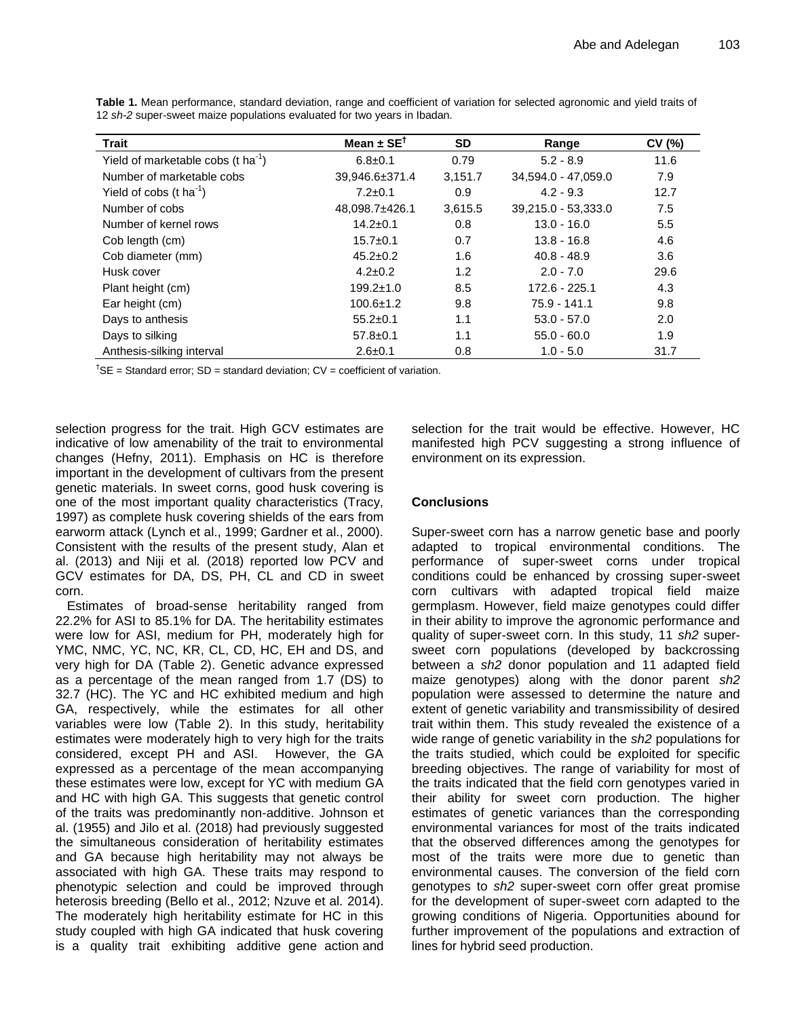| <b>Trait</b>                                   | Mean $\pm$ SE <sup>1</sup> | <b>SD</b> | Range               | CV(%) |
|------------------------------------------------|----------------------------|-----------|---------------------|-------|
| Yield of marketable cobs (t ha <sup>-1</sup> ) | $6.8 \pm 0.1$              | 0.79      | $5.2 - 8.9$         | 11.6  |
| Number of marketable cobs                      | 39,946.6±371.4             | 3,151.7   | 34,594.0 - 47,059.0 | 7.9   |
| Yield of cobs $(t \text{ ha}^{-1})$            | $7.2 \pm 0.1$              | 0.9       | $4.2 - 9.3$         | 12.7  |
| Number of cobs                                 | 48,098.7±426.1             | 3,615.5   | 39,215.0 - 53,333.0 | 7.5   |
| Number of kernel rows                          | $14.2 \pm 0.1$             | 0.8       | $13.0 - 16.0$       | 5.5   |
| Cob length (cm)                                | $15.7 \pm 0.1$             | 0.7       | $13.8 - 16.8$       | 4.6   |
| Cob diameter (mm)                              | $45.2 \pm 0.2$             | 1.6       | $40.8 - 48.9$       | 3.6   |
| Husk cover                                     | $4.2 \pm 0.2$              | 1.2       | $2.0 - 7.0$         | 29.6  |
| Plant height (cm)                              | $199.2 \pm 1.0$            | 8.5       | 172.6 - 225.1       | 4.3   |
| Ear height (cm)                                | $100.6 \pm 1.2$            | 9.8       | $75.9 - 141.1$      | 9.8   |
| Days to anthesis                               | $55.2 \pm 0.1$             | 1.1       | $53.0 - 57.0$       | 2.0   |
| Days to silking                                | $57.8 \pm 0.1$             | 1.1       | $55.0 - 60.0$       | 1.9   |
| Anthesis-silking interval                      | $2.6 \pm 0.1$              | 0.8       | $1.0 - 5.0$         | 31.7  |

**Table 1.** Mean performance, standard deviation, range and coefficient of variation for selected agronomic and yield traits of 12 *sh-2* super-sweet maize populations evaluated for two years in Ibadan.

<sup>†</sup>SE = Standard error: SD = standard deviation:  $CV = coefficient$  of variation.

selection progress for the trait. High GCV estimates are indicative of low amenability of the trait to environmental changes (Hefny, 2011). Emphasis on HC is therefore important in the development of cultivars from the present genetic materials. In sweet corns, good husk covering is one of the most important quality characteristics (Tracy, 1997) as complete husk covering shields of the ears from earworm attack (Lynch et al., 1999; Gardner et al., 2000). Consistent with the results of the present study, Alan et al. (2013) and Niji et al*.* (2018) reported low PCV and GCV estimates for DA, DS, PH, CL and CD in sweet corn.

Estimates of broad-sense heritability ranged from 22.2% for ASI to 85.1% for DA. The heritability estimates were low for ASI, medium for PH, moderately high for YMC, NMC, YC, NC, KR, CL, CD, HC, EH and DS, and very high for DA (Table 2). Genetic advance expressed as a percentage of the mean ranged from 1.7 (DS) to 32.7 (HC). The YC and HC exhibited medium and high GA, respectively, while the estimates for all other variables were low (Table 2). In this study, heritability estimates were moderately high to very high for the traits considered, except PH and ASI. However, the GA expressed as a percentage of the mean accompanying these estimates were low, except for YC with medium GA and HC with high GA. This suggests that genetic control of the traits was predominantly non-additive. Johnson et al. (1955) and Jilo et al. (2018) had previously suggested the simultaneous consideration of heritability estimates and GA because high heritability may not always be associated with high GA. These traits may respond to phenotypic selection and could be improved through heterosis breeding (Bello et al., 2012; Nzuve et al*.* 2014). The moderately high heritability estimate for HC in this study coupled with high GA indicated that husk covering is a quality trait exhibiting additive gene action and selection for the trait would be effective. However, HC manifested high PCV suggesting a strong influence of environment on its expression.

## **Conclusions**

Super-sweet corn has a narrow genetic base and poorly adapted to tropical environmental conditions. The performance of super-sweet corns under tropical conditions could be enhanced by crossing super-sweet corn cultivars with adapted tropical field maize germplasm. However, field maize genotypes could differ in their ability to improve the agronomic performance and quality of super-sweet corn. In this study, 11 *sh2* supersweet corn populations (developed by backcrossing between a *sh2* donor population and 11 adapted field maize genotypes) along with the donor parent *sh2* population were assessed to determine the nature and extent of genetic variability and transmissibility of desired trait within them. This study revealed the existence of a wide range of genetic variability in the *sh2* populations for the traits studied, which could be exploited for specific breeding objectives. The range of variability for most of the traits indicated that the field corn genotypes varied in their ability for sweet corn production. The higher estimates of genetic variances than the corresponding environmental variances for most of the traits indicated that the observed differences among the genotypes for most of the traits were more due to genetic than environmental causes. The conversion of the field corn genotypes to *sh2* super-sweet corn offer great promise for the development of super-sweet corn adapted to the growing conditions of Nigeria. Opportunities abound for further improvement of the populations and extraction of lines for hybrid seed production.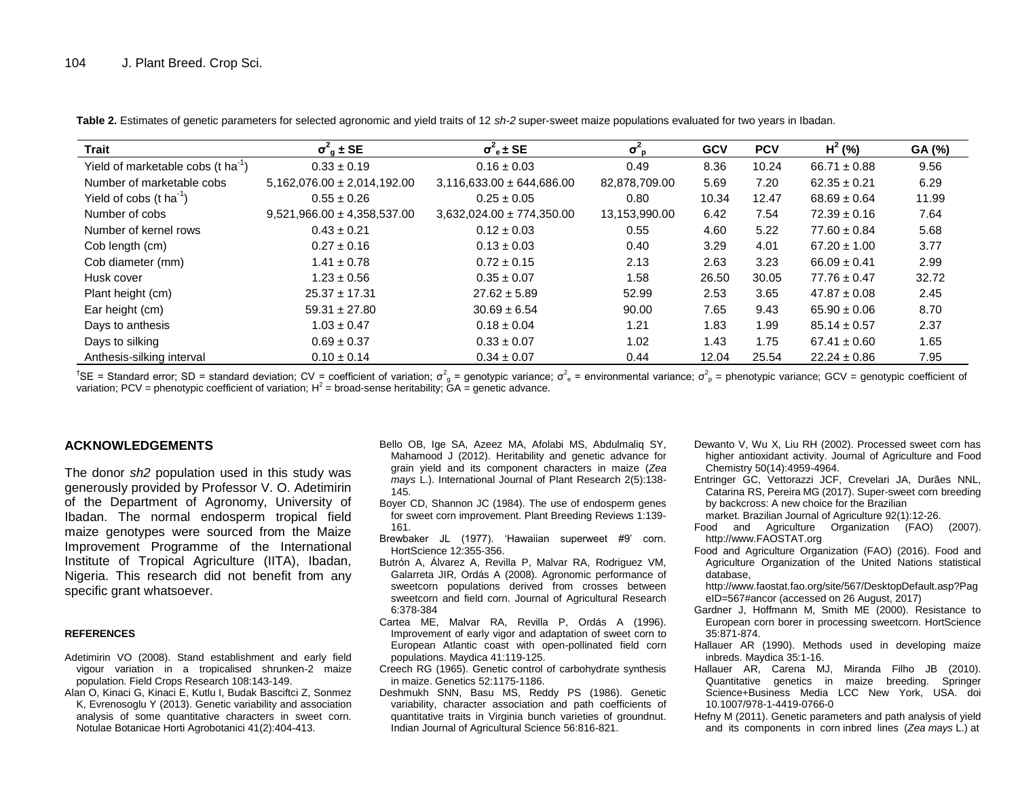**Table 2.** Estimates of genetic parameters for selected agronomic and yield traits of 12 *sh-2* super-sweet maize populations evaluated for two years in Ibadan.

| <b>Trait</b>                                   | $\sigma^2$ <sub>a</sub> ± SE    | $\sigma^2$ <sub>e</sub> ± SE  | $\sigma_{\rm p}^2$ | <b>GCV</b> | <b>PCV</b> | $H^2$ (%)        | GA (%) |
|------------------------------------------------|---------------------------------|-------------------------------|--------------------|------------|------------|------------------|--------|
| Yield of marketable cobs (t ha <sup>-1</sup> ) | $0.33 \pm 0.19$                 | $0.16 \pm 0.03$               | 0.49               | 8.36       | 10.24      | $66.71 \pm 0.88$ | 9.56   |
| Number of marketable cobs                      | $5,162,076.00 \pm 2,014,192.00$ | $3,116,633.00 \pm 644,686.00$ | 82,878,709.00      | 5.69       | 7.20       | $62.35 \pm 0.21$ | 6.29   |
| Yield of cobs $(t \text{ ha}^{-1})$            | $0.55 \pm 0.26$                 | $0.25 \pm 0.05$               | 0.80               | 10.34      | 12.47      | $68.69 \pm 0.64$ | 11.99  |
| Number of cobs                                 | $9,521,966.00 \pm 4,358,537.00$ | $3,632,024.00 \pm 774,350.00$ | 13,153,990.00      | 6.42       | 7.54       | $72.39 \pm 0.16$ | 7.64   |
| Number of kernel rows                          | $0.43 \pm 0.21$                 | $0.12 \pm 0.03$               | 0.55               | 4.60       | 5.22       | $77.60 \pm 0.84$ | 5.68   |
| Cob length (cm)                                | $0.27 \pm 0.16$                 | $0.13 \pm 0.03$               | 0.40               | 3.29       | 4.01       | $67.20 \pm 1.00$ | 3.77   |
| Cob diameter (mm)                              | $1.41 \pm 0.78$                 | $0.72 \pm 0.15$               | 2.13               | 2.63       | 3.23       | $66.09 \pm 0.41$ | 2.99   |
| Husk cover                                     | $1.23 \pm 0.56$                 | $0.35 \pm 0.07$               | 1.58               | 26.50      | 30.05      | $77.76 \pm 0.47$ | 32.72  |
| Plant height (cm)                              | $25.37 \pm 17.31$               | $27.62 \pm 5.89$              | 52.99              | 2.53       | 3.65       | $47.87 \pm 0.08$ | 2.45   |
| Ear height (cm)                                | $59.31 \pm 27.80$               | $30.69 \pm 6.54$              | 90.00              | 7.65       | 9.43       | $65.90 \pm 0.06$ | 8.70   |
| Days to anthesis                               | $1.03 \pm 0.47$                 | $0.18 \pm 0.04$               | 1.21               | 1.83       | 1.99       | $85.14 \pm 0.57$ | 2.37   |
| Days to silking                                | $0.69 \pm 0.37$                 | $0.33 \pm 0.07$               | 1.02               | 1.43       | 1.75       | $67.41 \pm 0.60$ | 1.65   |
| Anthesis-silking interval                      | $0.10 \pm 0.14$                 | $0.34 \pm 0.07$               | 0.44               | 12.04      | 25.54      | $22.24 \pm 0.86$ | 7.95   |

<sup>†</sup>SE = Standard error; SD = standard deviation; CV = coefficient of variation;  $\sigma_g^2$  = genotypic variance;  $\sigma_e^2$  = environmental variance;  $\sigma_p^2$  = phenotypic variance; GCV = genotypic coefficient of variation; PCV = phenotypic coefficient of variation;  $H^2$  = broad-sense heritability;  $GA =$  genetic advance.

### **ACKNOWLEDGEMENTS**

The donor *sh2* population used in this study was generously provided by Professor V. O. Adetimirin of the Department of Agronomy, University of Ibadan. The normal endosperm tropical field maize genotypes were sourced from the Maize Improvement Programme of the International Institute of Tropical Agriculture (IITA), Ibadan, Nigeria. This research did not benefit from any specific grant whatsoever.

#### **REFERENCES**

- Adetimirin VO (2008). Stand establishment and early field vigour variation in a tropicalised shrunken-2 maize population. Field Crops Research 108:143-149.
- Alan O, Kinaci G, Kinaci E, Kutlu I, Budak Basciftci Z, Sonmez K, Evrenosoglu Y (2013). Genetic variability and association analysis of some quantitative characters in sweet corn. Notulae Botanicae Horti Agrobotanici 41(2):404-413.
- Bello OB, Ige SA, Azeez MA, Afolabi MS, Abdulmaliq SY, Mahamood J (2012). Heritability and genetic advance for grain yield and its component characters in maize (*Zea mays* L.). International Journal of Plant Research 2(5):138- 145.
- Boyer CD, Shannon JC (1984). The use of endosperm genes for sweet corn improvement. Plant Breeding Reviews 1:139- 161.
- Brewbaker JL (1977). 'Hawaiian superweet #9' corn. HortScience 12:355-356.
- Butrón A, Álvarez A, Revilla P, Malvar RA, Rodriguez VM, Galarreta JIR, Ordás A (2008). Agronomic performance of sweetcorn populations derived from crosses between sweetcorn and field corn. Journal of Agricultural Research 6:378-384
- Cartea ME, Malvar RA, Revilla P, Ordás A (1996). Improvement of early vigor and adaptation of sweet corn to European Atlantic coast with open-pollinated field corn populations. Maydica 41:119-125.
- Creech RG (1965). Genetic control of carbohydrate synthesis in maize. Genetics 52:1175-1186.
- Deshmukh SNN, Basu MS, Reddy PS (1986). Genetic variability, character association and path coefficients of quantitative traits in Virginia bunch varieties of groundnut. Indian Journal of Agricultural Science 56:816-821.
- Dewanto V, Wu X, Liu RH (2002). Processed sweet corn has higher antioxidant activity. Journal of Agriculture and Food Chemistry 50(14):4959-4964.
- Entringer GC, Vettorazzi JCF, Crevelari JA, Durães NNL, Catarina RS, Pereira MG (2017). Super-sweet corn breeding by backcross: A new choice for the Brazilian
	- market. Brazilian Journal of Agriculture 92(1):12-26.
- Food and Agriculture Organization (FAO) (2007). http://www.FAOSTAT.org
- Food and Agriculture Organization (FAO) (2016). Food and Agriculture Organization of the United Nations statistical database,
	- http://www.faostat.fao.org/site/567/DesktopDefault.asp?Pag eID=567#ancor (accessed on 26 August, 2017)
- Gardner J, Hoffmann M, Smith ME (2000). Resistance to European corn borer in processing sweetcorn. HortScience 35:871-874.
- Hallauer AR (1990). Methods used in developing maize inbreds. Maydica 35:1-16.
- Hallauer AR, Carena MJ, Miranda Filho JB (2010). Quantitative genetics in maize breeding. Springer Science+Business Media LCC New York, USA. doi 10.1007/978-1-4419-0766-0
- Hefny M (2011). Genetic parameters and path analysis of yield and its components in corn inbred lines (*Zea mays* L.) at